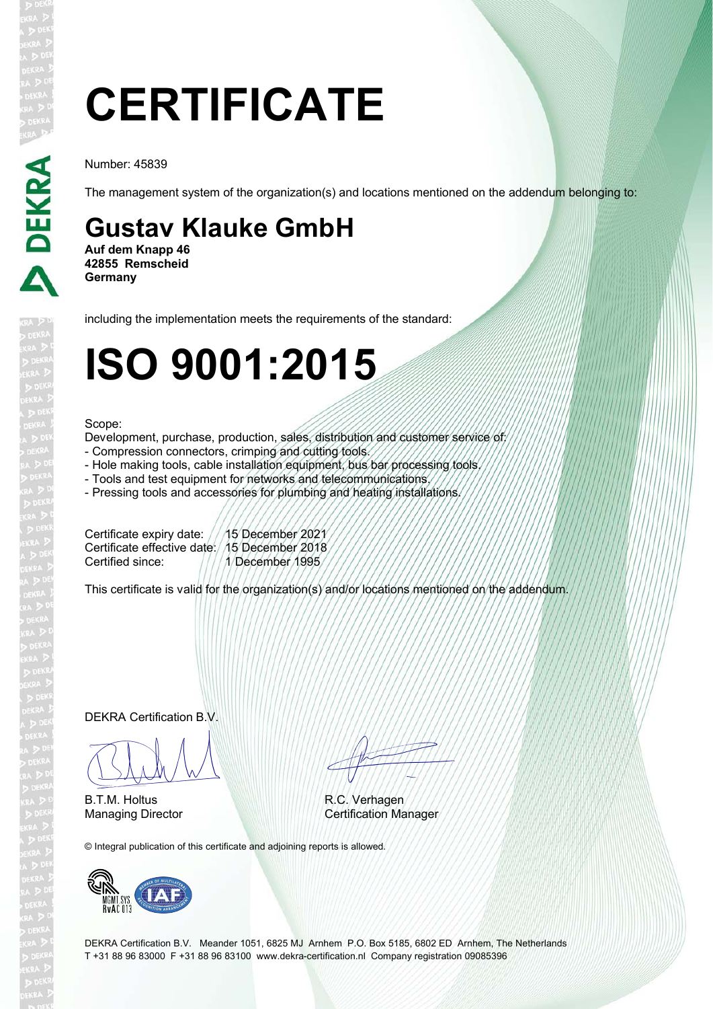# **CERTIFICATE**

Number: 45839

The management system of the organization(s) and locations mentioned on the addendum belonging to:

### **Gustav Klauke GmbH**

**Auf dem Knapp 46 42855 Remscheid Germany**

including the implementation meets the requirements of the standard:

## **ISO 9001:2015**

#### Scope:

Development, purchase, production, sales, distribution and customer service of:

- Compression connectors, crimping and cutting tools.
- Hole making tools, cable installation equipment, bus bar processing tools.
- Tools and test equipment for networks and telecommunications.
- Pressing tools and accessories for plumbing and heating installations.

Certificate expiry date: // 15 December 2021 Certificate effective date: 15 December 2018 Certified since: 1/1/1/December 1995

This certificate is valid for the organization(s) and/or locations mentioned on the addendum.

DEKRA Certification B.V.

 $\sqrt{11411}$ 

B.T.M. Holtus

© Integral publication of this certificate and adjoining reports is allowed.



EN TITULI

R.C. Verhagen Managing Director Certification Manager

DEKRA Certification B.V. Meander 1051, 6825 MJ Arnhem P.O. Box 5185, 6802 ED Arnhem, The Netherlands T +31 88 96 83000 F +31 88 96 83100 www.dekra-certification.nl Company registration 09085396